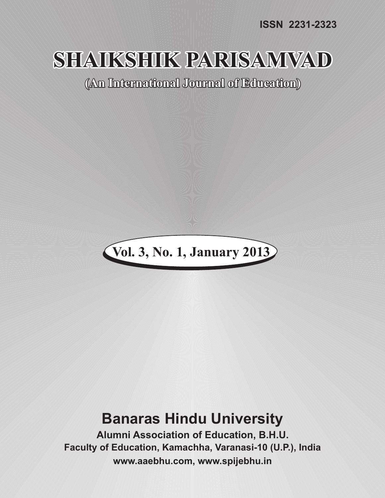**ISSN 2231-2323**

# **SHAIKSHIK PARISAMVAD**

**(An International Journal of Education)**



# **Banaras Hindu University**

**Alumni Association of Education, B.H.U. Faculty of Education, Kamachha, Varanasi-10 (U.P.), India www.aaebhu.com, www.spijebhu.in**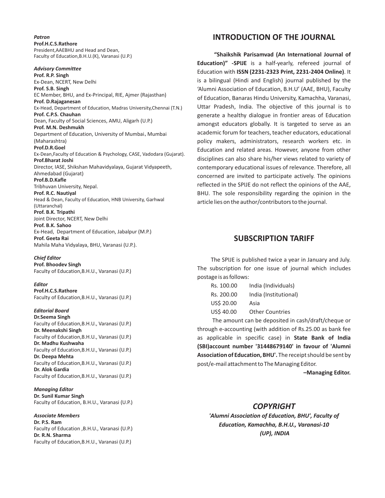*Patron* **Prof.H.C.S.Rathore** President,AAEBHU and Head and Dean, Faculty of Education,B.H.U.(K), Varanasi (U.P.)

*Advisory Committee* **Prof. R.P. Singh** Ex-Dean, NCERT, New Delhi **Prof. S.B. Singh** EC Member, BHU, and Ex-Principal, RIE, Ajmer (Rajasthan) **Prof. D.Rajaganesan** Ex-Head, Department of Education, Madras University,Chennai (T.N.) **Prof. C.P.S. Chauhan** Dean, Faculty of Social Sciences, AMU, Aligarh (U.P.) **Prof. M.N. Deshmukh** Department of Education, University of Mumbai, Mumbai (Maharashtra) **Prof.D.R.Goel** Ex-Dean,Faculty of Education & Psychology, CASE, Vadodara (Gujarat). **Prof.Bharat Joshi** Director, IASE, Shikshan Mahavidyalaya, Gujarat Vidyapeeth, Ahmedabad (Gujarat) **Prof.B.D.Kafle** Tribhuvan University, Nepal. **Prof. R.C. Nautiyal** Head & Dean, Faculty of Education, HNB University, Garhwal (Uttaranchal) **Prof. B.K. Tripathi** Joint Director, NCERT, New Delhi **Prof. B.K. Sahoo** Ex-Head, Department of Education, Jabalpur (M.P.) **Prof. Geeta Rai**

Mahila Maha Vidyalaya, BHU, Varanasi (U.P.).

*Chief Editor* **Prof. Bhoodev Singh**

Faculty of Education,B.H.U., Varanasi (U.P.)

*Editor* **Prof.H.C.S.Rathore** Faculty of Education,B.H.U., Varanasi (U.P.)

*Editorial Board* **Dr.Seema Singh** 

Faculty of Education,B.H.U., Varanasi (U.P.) **Dr. Meenakshi Singh** Faculty of Education,B.H.U., Varanasi (U.P.) **Dr. Madhu Kushwaha** Faculty of Education,B.H.U., Varanasi (U.P.) **Dr. Deepa Mehta** Faculty of Education,B.H.U., Varanasi (U.P.) **Dr. Alok Gardia** Faculty of Education,B.H.U., Varanasi (U.P.)

*Managing Editor* **Dr. Sunil Kumar Singh** Faculty of Education, B.H.U., Varanasi (U.P.)

*Associate Members* **Dr. P.S. Ram** Faculty of Education ,B.H.U., Varanasi (U.P.) **Dr. R.N. Sharma** Faculty of Education,B.H.U., Varanasi (U.P.)

#### **INTRODUCTION OF THE JOURNAL**

**"Shaikshik Parisamvad (An International Journal of Education)" -SPIJE** is a half-yearly, refereed journal of Education with **ISSN (2231-2323 Print, 2231-2404 Online)**. It is a bilingual (Hindi and English) journal published by the 'Alumni Association of Education, B.H.U' (AAE, BHU), Faculty of Education, Banaras Hindu University, Kamachha, Varanasi, Uttar Pradesh, India. The objective of this journal is to generate a healthy dialogue in frontier areas of Education amongst educators globally. It is targeted to serve as an academic forum for teachers, teacher educators, educational policy makers, administrators, research workers etc. in Education and related areas. However, anyone from other disciplines can also share his/her views related to variety of contemporary educational issues of relevance. Therefore, all concerned are invited to participate actively. The opinions reflected in the SPIJE do not reflect the opinions of the AAE, BHU. The sole responsibility regarding the opinion in the article lies on the author/contributors to the journal.

#### **SUBSCRIPTION TARIFF**

The SPIJE is published twice a year in January and July. The subscription for one issue of journal which includes postage is as follows:

| Rs. 100.00 | India (Individuals)    |
|------------|------------------------|
| Rs. 200.00 | India (Institutional)  |
| US\$ 20.00 | Asia                   |
| US\$ 40.00 | <b>Other Countries</b> |
|            |                        |

The amount can be deposited in cash/draft/cheque or through e-accounting (with addition of Rs.25.00 as bank fee as applicable in specific case) in **State Bank of India (SBI)account number '31448679140' in favour of 'Alumni Association of Education, BHU'.** The receipt should be sent by post/e-mail attachment to The Managing Editor.

**–Managing Editor.**

#### *COPYRIGHT*

*'Alumni Association of Education, BHU', Faculty of Education, Kamachha, B.H.U., Varanasi-10 (UP), INDIA*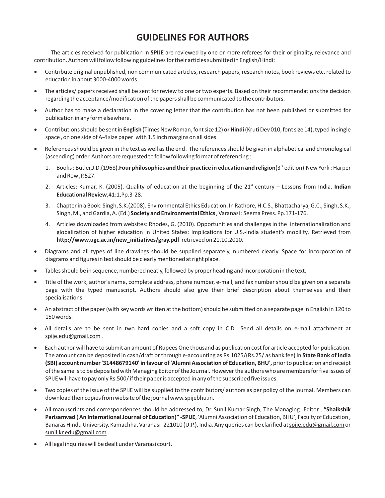## **GUIDELINES FOR AUTHORS**

The articles received for publication in **SPIJE** are reviewed by one or more referees for their originality, relevance and contribution. Authors will follow following guidelines for their articles submitted in English/Hindi:

Contribute original unpublished, non communicated articles, research papers, research notes, book reviews etc. related to education in about 3000-4000 words.

The articles/ papers received shall be sent for review to one or two experts. Based on their recommendations the decision regarding the acceptance/modification of the papers shall be communicated to the contributors.

Author has to make a declaration in the covering letter that the contribution has not been published or submitted for publication in any form elsewhere.

Contributions should be sent in **English** (Times New Roman,font size 12) **or Hindi** (Kruti Dev 010, font size 14), typed in single space , on one side of A-4 size paper with 1.5 inch margins on all sides.

References should be given in the text as well as the end . The references should be given in alphabetical and chronological (ascending) order. Authors are requested to follow following format of referencing :

- rd 1. Books : Butler,J.D.(1968).**Four philosophies and their practice in education and religion**(3 edition).New York : Harper and Row ,P.527.
- 2. Articles: Kumar, K. (2005). Quality of education at the beginning of the 21<sup>st</sup> century Lessons from India. Indian **Educational Review**,41:1,Pp.3-28.
- 3. Chapter in a Book: Singh, S.K.(2008). Environmental Ethics Education. In Rathore, H.C.S., Bhattacharya, G.C., Singh, S.K., Singh, M., and Gardia, A. (Ed.) **Society and Environmental Ethics**, Varanasi : Seema Press. Pp.171-176.
- 4. Articles downloaded from websites: Rhodes, G. (2010). Opportunities and challenges in the internationalization and globalization of higher education in United States: Implications for U.S.-India student's mobility. Retrieved from **http://www.ugc.ac.in/new\_initiatives/gray.pdf** retrieved on 21.10.2010.

Diagrams and all types of line drawings should be supplied separately, numbered clearly. Space for incorporation of diagrams and figures in text should be clearly mentioned at right place.

Tables should be in sequence, numbered neatly, followed by proper heading and incorporation in the text.

Title of the work, author's name, complete address, phone number, e-mail, and fax number should be given on a separate page with the typed manuscript. Authors should also give their brief description about themselves and their specialisations.

An abstract of the paper (with key words written at the bottom) should be submitted on a separate page in English in 120 to 150 words.

All details are to be sent in two hard copies and a soft copy in C.D.. Send all details on e-mail attachment at spije.edu@gmail.com .

Each author will have to submit an amount of Rupees One thousand as publication cost for article accepted for publication. The amount can be deposited in cash/draft or through e-accounting as Rs.1025/(Rs.25/ as bank fee) in **State Bank of India (SBI) account number '31448679140' in favour of 'Alumni Association of Education, BHU',** prior to publication and receipt of the same is to be deposited with Managing Editor of the Journal. However the authors who are members for five issues of SPIJE will have to pay only Rs.500/ if their paper is accepted in any of the subscribed five issues.

Two copies of the issue of the SPIJE will be supplied to the contributors/ authors as per policy of the journal. Members can download their copies from website of the journal www.spijebhu.in.

All manuscripts and correspondences should be addressed to, Dr. Sunil Kumar Singh, The Managing Editor , **"Shaikshik Parisamvad ( An International Journal of Education)" -SPIJE**, 'Alumni Association of Education, BHU', Faculty of Education , Banaras Hindu University, Kamachha, Varanasi -221010 (U.P.), India. Any queries can be clarified at spije.edu@gmail.com or sunil.kr.edu@gmail.com .

All legal inquiries will be dealt under Varanasi court.